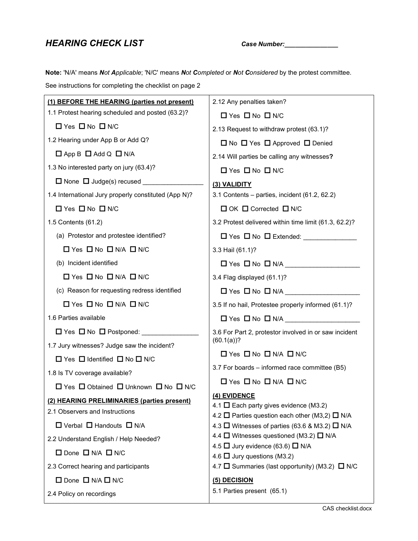# HEARING CHECK LIST Case Number: Case Number:

Note: 'N/A' means Not Applicable; 'N/C' means Not Completed or Not Considered by the protest committee.

See instructions for completing the checklist on page 2

| (1) BEFORE THE HEARING (parties not present)         | 2.12 Any penalties taken?                                                                        |
|------------------------------------------------------|--------------------------------------------------------------------------------------------------|
| 1.1 Protest hearing scheduled and posted (63.2)?     | $\Box$ Yes $\Box$ No $\Box$ N/C                                                                  |
| $\Box$ Yes $\Box$ No $\Box$ N/C                      | 2.13 Request to withdraw protest (63.1)?                                                         |
| 1.2 Hearing under App B or Add Q?                    | $\Box$ No $\Box$ Yes $\Box$ Approved $\Box$ Denied                                               |
| $\Box$ App B $\Box$ Add Q $\Box$ N/A                 | 2.14 Will parties be calling any witnesses?                                                      |
| 1.3 No interested party on jury (63.4)?              | $\Box$ Yes $\Box$ No $\Box$ N/C                                                                  |
| $\Box$ None $\Box$ Judge(s) recused _____            | (3) VALIDITY                                                                                     |
| 1.4 International Jury properly constituted (App N)? | 3.1 Contents – parties, incident $(61.2, 62.2)$                                                  |
| $\Box$ Yes $\Box$ No $\Box$ N/C                      | $\Box$ OK $\Box$ Corrected $\Box$ N/C                                                            |
| 1.5 Contents (61.2)                                  | 3.2 Protest delivered within time limit (61.3, 62.2)?                                            |
| (a) Protestor and protestee identified?              |                                                                                                  |
| $\Box$ Yes $\Box$ No $\Box$ N/A $\Box$ N/C           | 3.3 Hail (61.1)?                                                                                 |
| (b) Incident identified                              | $\Box$ Yes $\Box$ No $\Box$ N/A $\_\_\_\_\_\_\_\_\_\_\_\_\_\_\_\_\_\_\_\_\_\_\_\_\_\_\_\_\_\_\_$ |
| $\Box$ Yes $\Box$ No $\Box$ N/A $\Box$ N/C           | 3.4 Flag displayed (61.1)?                                                                       |
| (c) Reason for requesting redress identified         |                                                                                                  |
| $\Box$ Yes $\Box$ No $\Box$ N/A $\Box$ N/C           | 3.5 If no hail, Protestee properly informed (61.1)?                                              |
| 1.6 Parties available                                |                                                                                                  |
|                                                      | 3.6 For Part 2, protestor involved in or saw incident                                            |
| 1.7 Jury witnesses? Judge saw the incident?          | $(60.1(a))$ ?                                                                                    |
| □ Yes □ Identified □ No □ N/C                        | $\Box$ Yes $\Box$ No $\Box$ N/A $\Box$ N/C                                                       |
| 1.8 Is TV coverage available?                        | 3.7 For boards – informed race committee (B5)                                                    |
| □ Yes □ Obtained □ Unknown □ No □ N/C                | $\Box$ Yes $\Box$ No $\Box$ N/A $\Box$ N/C                                                       |
| (2) HEARING PRELIMINARIES (parties present)          | (4) EVIDENCE<br>4.1 $\Box$ Each party gives evidence (M3.2)                                      |
| 2.1 Observers and Instructions                       | 4.2 $\Box$ Parties question each other (M3,2) $\Box$ N/A                                         |
| $\Box$ Verbal $\Box$ Handouts $\Box$ N/A             | 4.3 $\Box$ Witnesses of parties (63.6 & M3.2) $\Box$ N/A                                         |
| 2.2 Understand English / Help Needed?                | 4.4 $\Box$ Witnesses questioned (M3.2) $\Box$ N/A<br>4.5 $\Box$ Jury evidence (63.6) $\Box$ N/A  |
| $\Box$ Done $\Box$ N/A $\Box$ N/C                    | 4.6 $\Box$ Jury questions (M3.2)                                                                 |
| 2.3 Correct hearing and participants                 | 4.7 □ Summaries (last opportunity) (M3.2) □ N/C                                                  |
| $\Box$ Done $\Box$ N/A $\Box$ N/C                    | (5) DECISION                                                                                     |
| 2.4 Policy on recordings                             | 5.1 Parties present (65.1)                                                                       |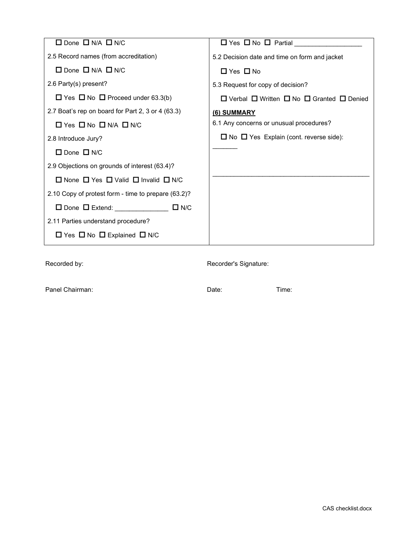| $\Box$ Done $\Box$ N/A $\Box$ N/C                             | $\Box$ Yes $\Box$ No $\Box$ Partial ______                          |
|---------------------------------------------------------------|---------------------------------------------------------------------|
| 2.5 Record names (from accreditation)                         | 5.2 Decision date and time on form and jacket                       |
| $\Box$ Done $\Box$ N/A $\Box$ N/C                             | $\Box$ Yes $\Box$ No                                                |
| 2.6 Party(s) present?                                         | 5.3 Request for copy of decision?                                   |
| $\Box$ Yes $\Box$ No $\Box$ Proceed under 63.3(b)             | $\Box$ Verbal $\Box$ Written $\Box$ No $\Box$ Granted $\Box$ Denied |
| 2.7 Boat's rep on board for Part 2, 3 or 4 (63.3)             | (6) SUMMARY                                                         |
| $\Box$ Yes $\Box$ No $\Box$ N/A $\Box$ N/C                    | 6.1 Any concerns or unusual procedures?                             |
| 2.8 Introduce Jury?                                           | $\Box$ No $\Box$ Yes Explain (cont. reverse side):                  |
| $\Box$ Done $\Box$ N/C                                        |                                                                     |
| 2.9 Objections on grounds of interest (63.4)?                 |                                                                     |
| $\Box$ None $\Box$ Yes $\Box$ Valid $\Box$ Invalid $\Box$ N/C |                                                                     |
| 2.10 Copy of protest form - time to prepare (63.2)?           |                                                                     |
| $\Box$ Done $\Box$ Extend: $\Box$ N/C                         |                                                                     |
| 2.11 Parties understand procedure?                            |                                                                     |
| $\Box$ Yes $\Box$ No $\Box$ Explained $\Box$ N/C              |                                                                     |

Recorded by: Recorder's Signature:

Panel Chairman: Time: Date: Date: Date: Time: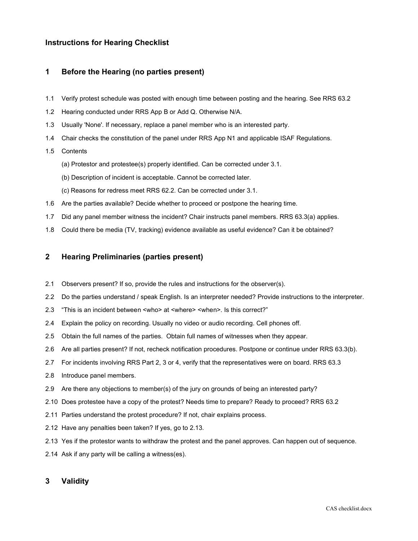## Instructions for Hearing Checklist

### 1 Before the Hearing (no parties present)

- 1.1 Verify protest schedule was posted with enough time between posting and the hearing. See RRS 63.2
- 1.2 Hearing conducted under RRS App B or Add Q. Otherwise N/A.
- 1.3 Usually 'None'. If necessary, replace a panel member who is an interested party.
- 1.4 Chair checks the constitution of the panel under RRS App N1 and applicable ISAF Regulations.

#### 1.5 Contents

- (a) Protestor and protestee(s) properly identified. Can be corrected under 3.1.
- (b) Description of incident is acceptable. Cannot be corrected later.
- (c) Reasons for redress meet RRS 62.2. Can be corrected under 3.1.
- 1.6 Are the parties available? Decide whether to proceed or postpone the hearing time.
- 1.7 Did any panel member witness the incident? Chair instructs panel members. RRS 63.3(a) applies.
- 1.8 Could there be media (TV, tracking) evidence available as useful evidence? Can it be obtained?

### 2 Hearing Preliminaries (parties present)

- 2.1 Observers present? If so, provide the rules and instructions for the observer(s).
- 2.2 Do the parties understand / speak English. Is an interpreter needed? Provide instructions to the interpreter.
- 2.3 "This is an incident between <who> at <where> <when>. Is this correct?"
- 2.4 Explain the policy on recording. Usually no video or audio recording. Cell phones off.
- 2.5 Obtain the full names of the parties. Obtain full names of witnesses when they appear.
- 2.6 Are all parties present? If not, recheck notification procedures. Postpone or continue under RRS 63.3(b).
- 2.7 For incidents involving RRS Part 2, 3 or 4, verify that the representatives were on board. RRS 63.3
- 2.8 Introduce panel members.
- 2.9 Are there any objections to member(s) of the jury on grounds of being an interested party?
- 2.10 Does protestee have a copy of the protest? Needs time to prepare? Ready to proceed? RRS 63.2
- 2.11 Parties understand the protest procedure? If not, chair explains process.
- 2.12 Have any penalties been taken? If yes, go to 2.13.
- 2.13 Yes if the protestor wants to withdraw the protest and the panel approves. Can happen out of sequence.
- 2.14 Ask if any party will be calling a witness(es).

### 3 Validity